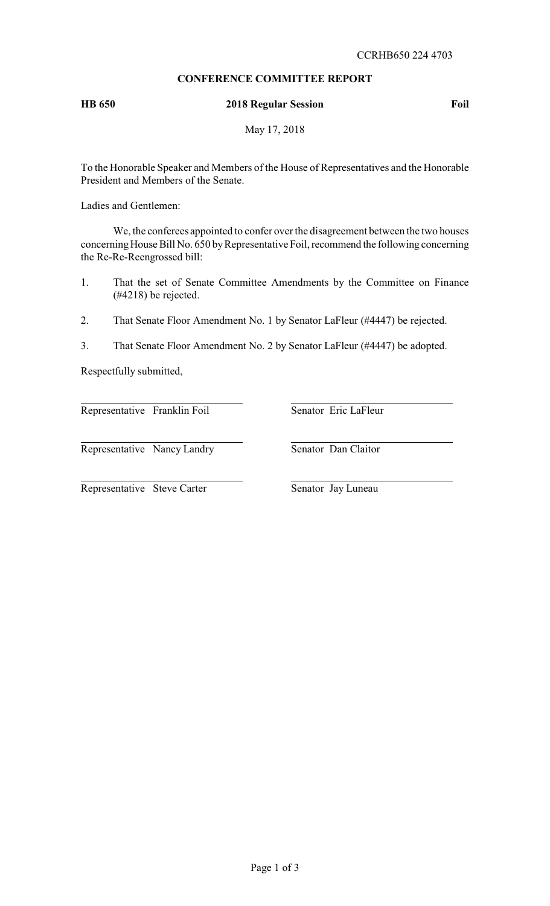# **CONFERENCE COMMITTEE REPORT**

## **HB 650 2018 Regular Session Foil**

May 17, 2018

To the Honorable Speaker and Members of the House of Representatives and the Honorable President and Members of the Senate.

Ladies and Gentlemen:

We, the conferees appointed to confer over the disagreement between the two houses concerning House Bill No. 650 by Representative Foil, recommend the following concerning the Re-Re-Reengrossed bill:

- 1. That the set of Senate Committee Amendments by the Committee on Finance (#4218) be rejected.
- 2. That Senate Floor Amendment No. 1 by Senator LaFleur (#4447) be rejected.
- 3. That Senate Floor Amendment No. 2 by Senator LaFleur (#4447) be adopted.

Respectfully submitted,

Representative Franklin Foil Senator Eric LaFleur

Representative Nancy Landry Senator Dan Claitor

Representative Steve Carter Senator Jay Luneau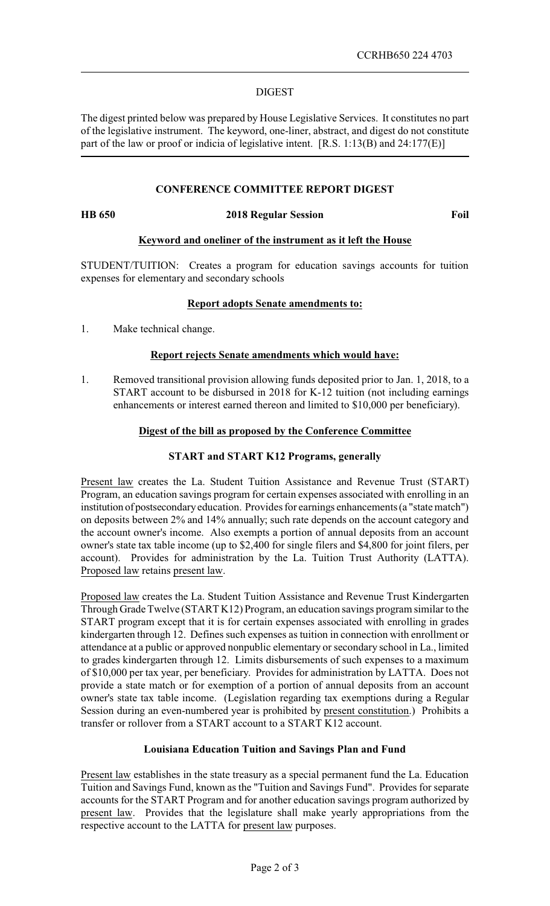### DIGEST

The digest printed below was prepared by House Legislative Services. It constitutes no part of the legislative instrument. The keyword, one-liner, abstract, and digest do not constitute part of the law or proof or indicia of legislative intent. [R.S. 1:13(B) and 24:177(E)]

## **CONFERENCE COMMITTEE REPORT DIGEST**

#### **HB 650 2018 Regular Session Foil**

### **Keyword and oneliner of the instrument as it left the House**

STUDENT/TUITION: Creates a program for education savings accounts for tuition expenses for elementary and secondary schools

### **Report adopts Senate amendments to:**

1. Make technical change.

#### **Report rejects Senate amendments which would have:**

1. Removed transitional provision allowing funds deposited prior to Jan. 1, 2018, to a START account to be disbursed in 2018 for K-12 tuition (not including earnings enhancements or interest earned thereon and limited to \$10,000 per beneficiary).

### **Digest of the bill as proposed by the Conference Committee**

## **START and START K12 Programs, generally**

Present law creates the La. Student Tuition Assistance and Revenue Trust (START) Program, an education savings program for certain expenses associated with enrolling in an institution of postsecondaryeducation. Provides for earnings enhancements (a "state match") on deposits between 2% and 14% annually; such rate depends on the account category and the account owner's income. Also exempts a portion of annual deposits from an account owner's state tax table income (up to \$2,400 for single filers and \$4,800 for joint filers, per account). Provides for administration by the La. Tuition Trust Authority (LATTA). Proposed law retains present law.

Proposed law creates the La. Student Tuition Assistance and Revenue Trust Kindergarten Through Grade Twelve (START K12) Program, an education savings program similar to the START program except that it is for certain expenses associated with enrolling in grades kindergarten through 12. Defines such expenses as tuition in connection with enrollment or attendance at a public or approved nonpublic elementary or secondary school in La., limited to grades kindergarten through 12. Limits disbursements of such expenses to a maximum of \$10,000 per tax year, per beneficiary. Provides for administration by LATTA. Does not provide a state match or for exemption of a portion of annual deposits from an account owner's state tax table income. (Legislation regarding tax exemptions during a Regular Session during an even-numbered year is prohibited by present constitution.) Prohibits a transfer or rollover from a START account to a START K12 account.

#### **Louisiana Education Tuition and Savings Plan and Fund**

Present law establishes in the state treasury as a special permanent fund the La. Education Tuition and Savings Fund, known as the "Tuition and Savings Fund". Provides for separate accounts for the START Program and for another education savings program authorized by present law. Provides that the legislature shall make yearly appropriations from the respective account to the LATTA for present law purposes.